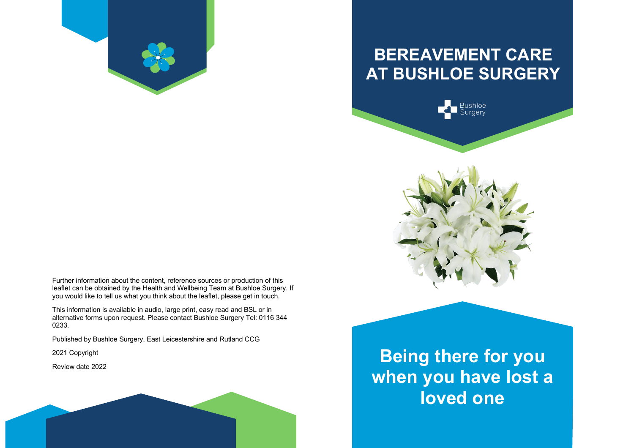

# **BEREAVEMENT CARE AT BUSHLOE SURGERY**





Further information about the content, reference sources or production of this leaflet can be obtained by the Health and Wellbeing Team at Bushloe Surgery. If you would like to tell us what you think about the leaflet, please get in touch.

This information is available in audio, large print, easy read and BSL or in alternative forms upon request. Please contact Bushloe Surgery Tel: 0116 344 0233.

Published by Bushloe Surgery, East Leicestershire and Rutland CCG

2021 Copyright

Review date 2022

**Being there for you when you have lost a loved one**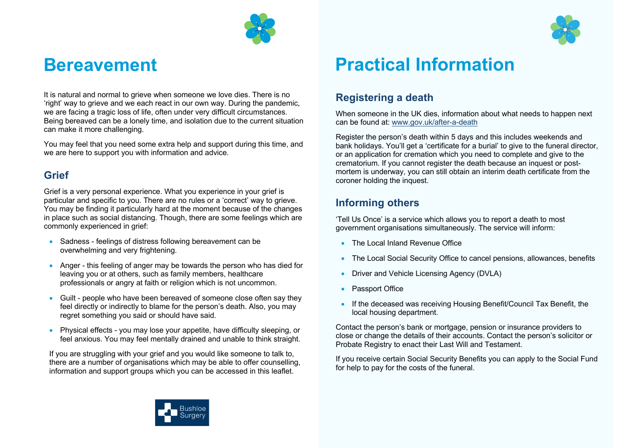

# **Bereavement**

It is natural and normal to grieve when someone we love dies. There is no 'right' way to grieve and we each react in our own way. During the pandemic, we are facing a tragic loss of life, often under very difficult circumstances. Being bereaved can be a lonely time, and isolation due to the current situation can make it more challenging.

You may feel that you need some extra help and support during this time, and we are here to support you with information and advice.

#### **Grief**

Grief is a very personal experience. What you experience in your grief is particular and specific to you. There are no rules or a 'correct' way to grieve. You may be finding it particularly hard at the moment because of the changes in place such as social distancing. Though, there are some feelings which are commonly experienced in grief:

- Sadness feelings of distress following bereavement can be overwhelming and very frightening.
- Anger this feeling of anger may be towards the person who has died for leaving you or at others, such as family members, healthcare professionals or angry at faith or religion which is not uncommon.
- Guilt people who have been bereaved of someone close often say they feel directly or indirectly to blame for the person's death. Also, you may regret something you said or should have said.
- Physical effects you may lose your appetite, have difficulty sleeping, or feel anxious. You may feel mentally drained and unable to think straight.

If you are struggling with your grief and you would like someone to talk to, there are a number of organisations which may be able to offer counselling, information and support groups which you can be accessed in this leaflet.



#### **Registering a death**

When someone in the UK dies, information about what needs to happen next can be found at: www.gov.uk/after-a-death

Register the person's death within 5 days and this includes weekends and bank holidays. You'll get a 'certificate for a burial' to give to the funeral director, or an application for cremation which you need to complete and give to the crematorium. If you cannot register the death because an inquest or postmortem is underway, you can still obtain an interim death certificate from the coroner holding the inquest.

#### **Informing others**

'Tell Us Once' is a service which allows you to report a death to most government organisations simultaneously. The service will inform:

- The Local Inland Revenue Office
- The Local Social Security Office to cancel pensions, allowances, benefits
- Driver and Vehicle Licensing Agency (DVLA)
- Passport Office
- If the deceased was receiving Housing Benefit/Council Tax Benefit, the local housing department.

Contact the person's bank or mortgage, pension or insurance providers to close or change the details of their accounts. Contact the person's solicitor or Probate Registry to enact their Last Will and Testament.

If you receive certain Social Security Benefits you can apply to the Social Fund for help to pay for the costs of the funeral.



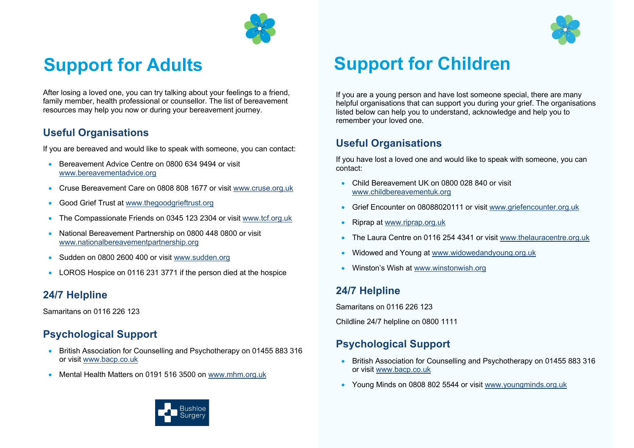

After losing a loved one, you can try talking about your feelings to a friend, family member, health professional or counsellor. The list of bereavement resources may help you now or during your bereavement journey.

#### **Useful Organisations**

If you are bereaved and would like to speak with someone, you can contact:

- Bereavement Advice Centre on 0800 634 9494 or visit www.bereavementadvice.org
- Cruse Bereavement Care on 0808 808 1677 or visit www.cruse.org.uk
- Good Grief Trust at www.thegoodgrieftrust.org
- The Compassionate Friends on 0345 123 2304 or visit www.tcf.org.uk
- National Bereavement Partnership on 0800 448 0800 or visit www.nationalbereavementpartnership.org
- Sudden on 0800 2600 400 or visit www.sudden.org
- LOROS Hospice on 0116 231 3771 if the person died at the hospice

#### **24/7 Helpline**

Samaritans on 0116 226 123

## **Psychological Support**

- British Association for Counselling and Psychotherapy on 01455 883 316 or visit www.bacp.co.uk
- Mental Health Matters on 0191 516 3500 on www.mhm.org.uk



If you are a young person and have lost someone special, there are many helpful organisations that can support you during your grief. The organisations listed below can help you to understand, acknowledge and help you to remember your loved one.

### **Useful Organisations**

If you have lost a loved one and would like to speak with someone, you can contact:

- Child Bereavement UK on 0800 028 840 or visit www.childbereavementuk.org
- Grief Encounter on 08088020111 or visit www.griefencounter.org.uk
- Riprap at www.riprap.org.uk
- The Laura Centre on 0116 254 4341 or visit www.thelauracentre.org.uk
- Widowed and Young at www.widowedandyoung.org.uk
- Winston's Wish at www.winstonwish.org

## **24/7 Helpline**

Samaritans on 0116 226 123

Childline 24/7 helpline on 0800 1111

## **Psychological Support**

- British Association for Counselling and Psychotherapy on 01455 883 316 or visit www.bacp.co.uk
- Young Minds on 0808 802 5544 or visit www.youngminds.org.uk